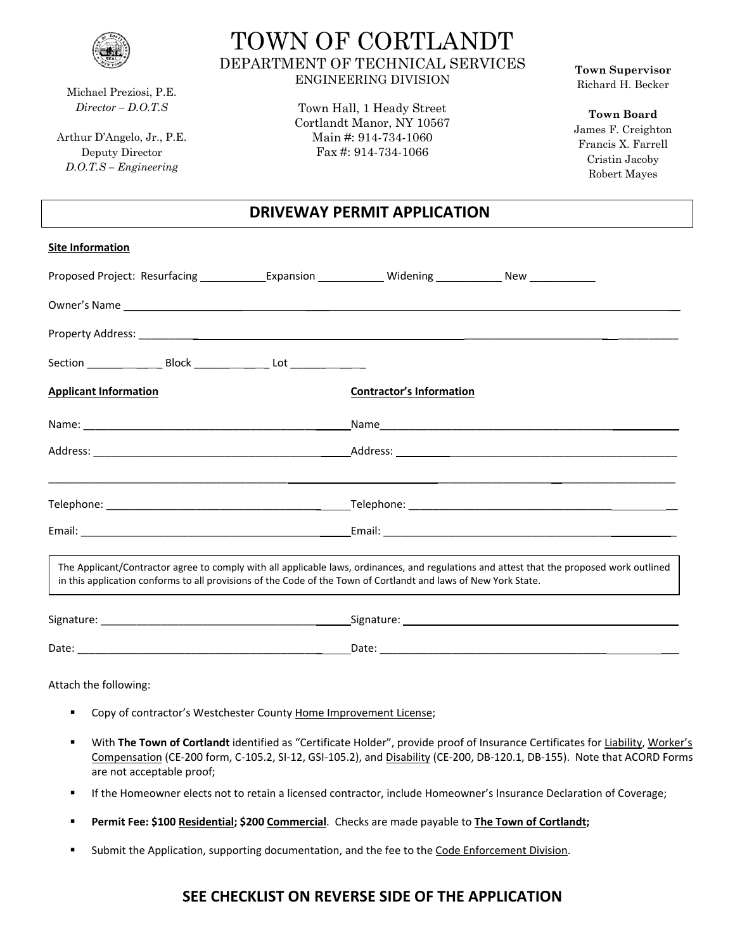

Michael Preziosi, P.E. *Director – D.O.T.S*

Arthur D'Angelo, Jr., P.E. Deputy Director *D.O.T.S – Engineering*

# TOWN OF CORTLANDT DEPARTMENT OF TECHNICAL SERVICES ENGINEERING DIVISION

Town Hall, 1 Heady Street Cortlandt Manor, NY 10567 Main #: 914-734-1060 Fax #: 914-734-1066

**Town Supervisor** Richard H. Becker

**Town Board** James F. Creighton Francis X. Farrell Cristin Jacoby Robert Mayes

### **DRIVEWAY PERMIT APPLICATION**

| <b>Site Information</b>                                                                                                                                                                                                        |                                 |                                                                                                                                           |
|--------------------------------------------------------------------------------------------------------------------------------------------------------------------------------------------------------------------------------|---------------------------------|-------------------------------------------------------------------------------------------------------------------------------------------|
| Proposed Project: Resurfacing _____________Expansion ______________Widening ______________New _______________                                                                                                                  |                                 |                                                                                                                                           |
| Owner's Name experience and the contract of the contract of the contract of the contract of the contract of the contract of the contract of the contract of the contract of the contract of the contract of the contract of th |                                 |                                                                                                                                           |
|                                                                                                                                                                                                                                |                                 |                                                                                                                                           |
|                                                                                                                                                                                                                                |                                 |                                                                                                                                           |
| <b>Applicant Information</b>                                                                                                                                                                                                   | <b>Contractor's Information</b> |                                                                                                                                           |
|                                                                                                                                                                                                                                |                                 |                                                                                                                                           |
|                                                                                                                                                                                                                                |                                 |                                                                                                                                           |
|                                                                                                                                                                                                                                |                                 |                                                                                                                                           |
|                                                                                                                                                                                                                                |                                 |                                                                                                                                           |
| in this application conforms to all provisions of the Code of the Town of Cortlandt and laws of New York State.                                                                                                                |                                 | The Applicant/Contractor agree to comply with all applicable laws, ordinances, and regulations and attest that the proposed work outlined |
|                                                                                                                                                                                                                                |                                 |                                                                                                                                           |
|                                                                                                                                                                                                                                |                                 |                                                                                                                                           |
| Attach the following:                                                                                                                                                                                                          |                                 |                                                                                                                                           |

- **EXECT** Copy of contractor's Westchester County Home Improvement License;
- With **The Town of Cortlandt** identified as "Certificate Holder", provide proof of Insurance Certificates for Liability, Worker's Compensation (CE‐200 form, C‐105.2, SI‐12, GSI‐105.2), and Disability (CE‐200, DB‐120.1, DB‐155). Note that ACORD Forms are not acceptable proof;
- If the Homeowner elects not to retain a licensed contractor, include Homeowner's Insurance Declaration of Coverage;
- **Permit Fee: \$100 Residential; \$200 Commercial**. Checks are made payable to **The Town of Cortlandt;**
- Submit the Application, supporting documentation, and the fee to the Code Enforcement Division.

## **SEE CHECKLIST ON REVERSE SIDE OF THE APPLICATION**